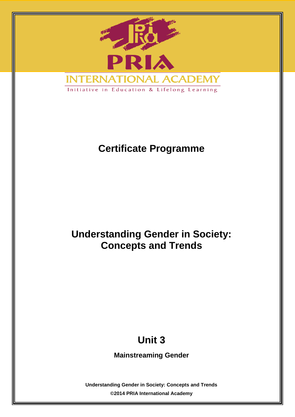

# **Certificate Programme**

# **Understanding Gender in Society: Concepts and Trends**

# **Unit 3**

**Mainstreaming Gender**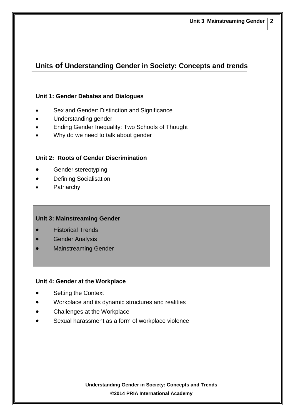## **Units of Understanding Gender in Society: Concepts and trends**

#### **Unit 1: Gender Debates and Dialogues**

- Sex and Gender: Distinction and Significance
- Understanding gender
- Ending Gender Inequality: Two Schools of Thought
- Why do we need to talk about gender

#### **Unit 2: Roots of Gender Discrimination**

- Gender stereotyping
- Defining Socialisation
- Patriarchy

#### **Unit 3: Mainstreaming Gender**

- Historical Trends
- Gender Analysis
- Mainstreaming Gender

#### **Unit 4: Gender at the Workplace**

- Setting the Context
- Workplace and its dynamic structures and realities
- Challenges at the Workplace
- Sexual harassment as a form of workplace violence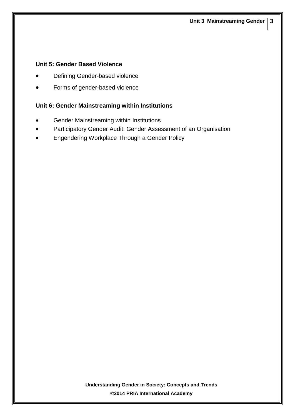#### **Unit 5: Gender Based Violence**

- Defining Gender-based violence
- Forms of gender-based violence

#### **Unit 6: Gender Mainstreaming within Institutions**

- Gender Mainstreaming within Institutions
- Participatory Gender Audit: Gender Assessment of an Organisation
- Engendering Workplace Through a Gender Policy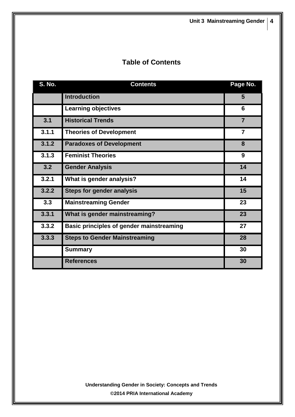# **Table of Contents**

| <b>S. No.</b> | <b>Contents</b>                          | Page No.       |
|---------------|------------------------------------------|----------------|
|               | <b>Introduction</b>                      | 5              |
|               | <b>Learning objectives</b>               | 6              |
| 3.1           | <b>Historical Trends</b>                 | $\overline{7}$ |
| 3.1.1         | <b>Theories of Development</b>           | $\overline{7}$ |
| 3.1.2         | <b>Paradoxes of Development</b>          | 8              |
| 3.1.3         | <b>Feminist Theories</b>                 | 9              |
| 3.2           | <b>Gender Analysis</b>                   | 14             |
| 3.2.1         | What is gender analysis?                 | 14             |
| 3.2.2         | <b>Steps for gender analysis</b>         | 15             |
| 3.3           | <b>Mainstreaming Gender</b>              | 23             |
| 3.3.1         | What is gender mainstreaming?            | 23             |
| 3.3.2         | Basic principles of gender mainstreaming | 27             |
| 3.3.3         | <b>Steps to Gender Mainstreaming</b>     | 28             |
|               | <b>Summary</b>                           | 30             |
|               | <b>References</b>                        | 30             |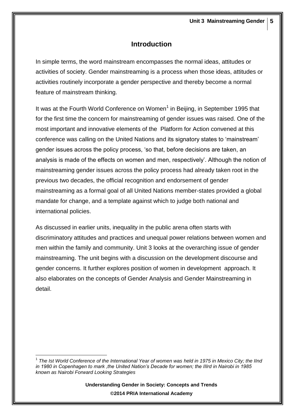## **Introduction**

In simple terms, the word mainstream encompasses the normal ideas, attitudes or activities of society. Gender mainstreaming is a process when those ideas, attitudes or activities routinely incorporate a gender perspective and thereby become a normal feature of mainstream thinking.

It was at the Fourth World Conference on Women<sup>1</sup> in Beijing, in September 1995 that for the first time the concern for mainstreaming of gender issues was raised. One of the most important and innovative elements of the Platform for Action convened at this conference was calling on the United Nations and its signatory states to 'mainstream' gender issues across the policy process, 'so that, before decisions are taken, an analysis is made of the effects on women and men, respectively'. Although the notion of mainstreaming gender issues across the policy process had already taken root in the previous two decades, the official recognition and endorsement of gender mainstreaming as a formal goal of all United Nations member-states provided a global mandate for change, and a template against which to judge both national and international policies.

As discussed in earlier units, inequality in the public arena often starts with discriminatory attitudes and practices and unequal power relations between women and men within the family and community. Unit 3 looks at the overarching issue of gender mainstreaming. The unit begins with a discussion on the development discourse and gender concerns. It further explores position of women in development approach. It also elaborates on the concepts of Gender Analysis and Gender Mainstreaming in detail.

1

<sup>&</sup>lt;sup>1</sup> The Ist World Conference of the International Year of women was held in 1975 in Mexico City; the IInd *in 1980 in Copenhagen to mark ,the United Nation's Decade for women; the IIIrd in Nairobi in 1985 known as Nairobi Forward Looking Strategies*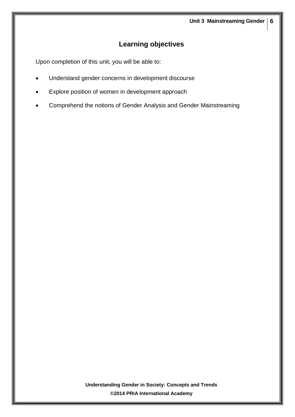# **Learning objectives**

Upon completion of this unit, you will be able to:

- Understand gender concerns in development discourse
- Explore position of women in development approach
- Comprehend the notions of Gender Analysis and Gender Mainstreaming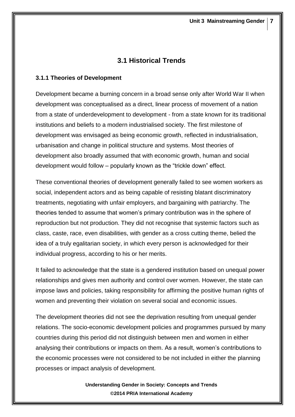## **3.1 Historical Trends**

#### **3.1.1 Theories of Development**

Development became a burning concern in a broad sense only after World War II when development was conceptualised as a direct, linear process of movement of a nation from a state of underdevelopment to development - from a state known for its traditional institutions and beliefs to a modern industrialised society. The first milestone of development was envisaged as being economic growth, reflected in industrialisation, urbanisation and change in political structure and systems. Most theories of development also broadly assumed that with economic growth, human and social development would follow – popularly known as the "trickle down" effect.

These conventional theories of development generally failed to see women workers as social, independent actors and as being capable of resisting blatant discriminatory treatments, negotiating with unfair employers, and bargaining with patriarchy. The theories tended to assume that women's primary contribution was in the sphere of reproduction but not production. They did not recognise that systemic factors such as class, caste, race, even disabilities, with gender as a cross cutting theme, belied the idea of a truly egalitarian society, in which every person is acknowledged for their individual progress, according to his or her merits.

It failed to acknowledge that the state is a gendered institution based on unequal power relationships and gives men authority and control over women. However, the state can impose laws and policies, taking responsibility for affirming the positive human rights of women and preventing their violation on several social and economic issues.

The development theories did not see the deprivation resulting from unequal gender relations. The socio-economic development policies and programmes pursued by many countries during this period did not distinguish between men and women in either analysing their contributions or impacts on them. As a result, women's contributions to the economic processes were not considered to be not included in either the planning processes or impact analysis of development.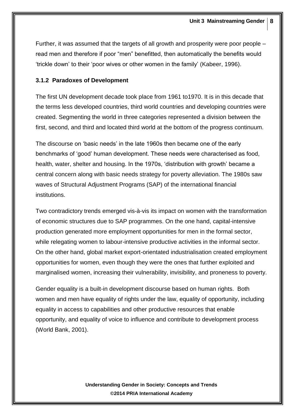Further, it was assumed that the targets of all growth and prosperity were poor people – read men and therefore if poor "men" benefitted, then automatically the benefits would 'trickle down' to their 'poor wives or other women in the family' (Kabeer, 1996).

#### **3.1.2 Paradoxes of Development**

The first UN development decade took place from 1961 to1970. It is in this decade that the terms less developed countries, third world countries and developing countries were created. Segmenting the world in three categories represented a division between the first, second, and third and located third world at the bottom of the progress continuum.

The discourse on 'basic needs' in the late 1960s then became one of the early benchmarks of 'good' human development. These needs were characterised as food, health, water, shelter and housing. In the 1970s, 'distribution with growth' became a central concern along with basic needs strategy for poverty alleviation. The 1980s saw waves of Structural Adjustment Programs (SAP) of the international financial institutions.

Two contradictory trends emerged vis-à-vis its impact on women with the transformation of economic structures due to SAP programmes. On the one hand, capital-intensive production generated more employment opportunities for men in the formal sector, while relegating women to labour-intensive productive activities in the informal sector. On the other hand, global market export-orientated industrialisation created employment opportunities for women, even though they were the ones that further exploited and marginalised women, increasing their vulnerability, invisibility, and proneness to poverty.

Gender equality is a built-in development discourse based on human rights. Both women and men have equality of rights under the law, equality of opportunity, including equality in access to capabilities and other productive resources that enable opportunity, and equality of voice to influence and contribute to development process (World Bank, 2001).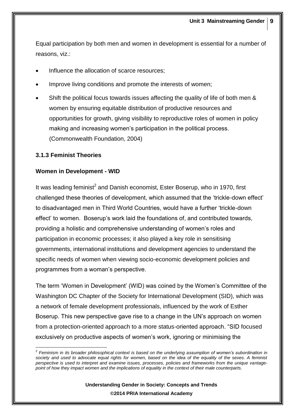Equal participation by both men and women in development is essential for a number of reasons, viz.:

- Influence the allocation of scarce resources;
- Improve living conditions and promote the interests of women;
- Shift the political focus towards issues affecting the quality of life of both men & women by ensuring equitable distribution of productive resources and opportunities for growth, giving visibility to reproductive roles of women in policy making and increasing women's participation in the political process. (Commonwealth Foundation, 2004)

#### **3.1.3 Feminist Theories**

#### **Women in Development - WID**

It was leading feminist<sup>2</sup> and Danish economist, Ester Boserup, who in 1970, first challenged these theories of development, which assumed that the 'trickle-down effect' to disadvantaged men in Third World Countries, would have a further 'trickle-down effect' to women. Boserup's work laid the foundations of, and contributed towards, providing a holistic and comprehensive understanding of women's roles and participation in economic processes; it also played a key role in sensitising governments, international institutions and development agencies to understand the specific needs of women when viewing socio-economic development policies and programmes from a woman's perspective.

The term 'Women in Development' (WID) was coined by the Women's Committee of the Washington DC Chapter of the Society for International Development (SID), which was a network of female development professionals, influenced by the work of Esther Boserup. This new perspective gave rise to a change in the UN's approach on women from a protection-oriented approach to a more status-oriented approach. "SID focused exclusively on productive aspects of women's work, ignoring or minimising the

 2 *Feminism in its broader philosophical context is based on the underlying assumption of women's subordination in*  society and used to advocate equal rights for women, based on the idea of the equality of the sexes. A feminist *perspective is used to interpret and examine issues, processes, policies and frameworks from the unique vantagepoint of how they impact women and the implications of equality in the context of their male counterparts.*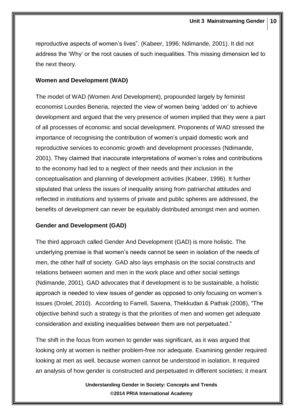reproductive aspects of women's lives". (Kabeer, 1996; Ndimande, 2001). It did not address the 'Why' or the root causes of such inequalities. This missing dimension led to the next theory.

#### **Women and Development (WAD)**

The model of WAD (Women And Development), propounded largely by feminist economist Lourdes Beneria, rejected the view of women being 'added on' to achieve development and argued that the very presence of women implied that they were a part of all processes of economic and social development. Proponents of WAD stressed the importance of recognising the contribution of women's unpaid domestic work and reproductive services to economic growth and development processes (Ndimande, 2001). They claimed that inaccurate interpretations of women's roles and contributions to the economy had led to a neglect of their needs and their inclusion in the conceptualisation and planning of development activities (Kabeer, 1996). It further stipulated that unless the issues of inequality arising from patriarchal attitudes and reflected in institutions and systems of private and public spheres are addressed, the benefits of development can never be equitably distributed amongst men and women.

#### **Gender and Development (GAD)**

The third approach called Gender And Development (GAD) is more holistic. The underlying premise is that women's needs cannot be seen in isolation of the needs of men, the other half of society. GAD also lays emphasis on the social constructs and relations between women and men in the work place and other social settings (Ndimande, 2001). GAD advocates that if development is to be sustainable, a holistic approach is needed to view issues of gender as opposed to only focusing on women's issues (Drolet, 2010). According to Farrell, Saxena, Thekkudan & Pathak (2008), "The objective behind such a strategy is that the priorities of men and women get adequate consideration and existing inequalities between them are not perpetuated."

The shift in the focus from women to gender was significant, as it was argued that looking only at women is neither problem-free nor adequate. Examining gender required looking at men as well, because women cannot be understood in isolation. It required an analysis of how gender is constructed and perpetuated in different societies; it meant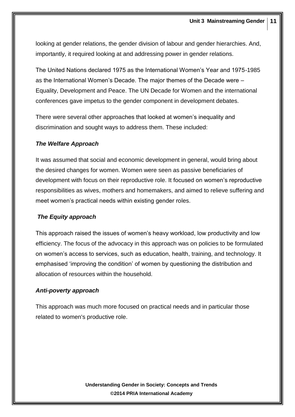looking at gender relations, the gender division of labour and gender hierarchies. And, importantly, it required looking at and addressing power in gender relations.

The United Nations declared 1975 as the International Women's Year and 1975-1985 as the International Women's Decade. The major themes of the Decade were – Equality, Development and Peace. The UN Decade for Women and the international conferences gave impetus to the gender component in development debates.

There were several other approaches that looked at women's inequality and discrimination and sought ways to address them. These included:

#### *The Welfare Approach*

It was assumed that social and economic development in general, would bring about the desired changes for women. Women were seen as passive beneficiaries of development with focus on their reproductive role. It focused on women's reproductive responsibilities as wives, mothers and homemakers, and aimed to relieve suffering and meet women's practical needs within existing gender roles.

#### *The Equity approach*

This approach raised the issues of women's heavy workload, low productivity and low efficiency. The focus of the advocacy in this approach was on policies to be formulated on women's access to services, such as education, health, training, and technology. It emphasised 'improving the condition' of women by questioning the distribution and allocation of resources within the household.

#### *Anti-poverty approach*

This approach was much more focused on practical needs and in particular those related to women's productive role.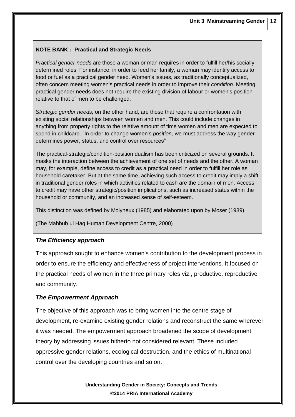#### **NOTE BANK : Practical and Strategic Needs**

*Practical gender needs* are those a woman or man requires in order to fulfill her/his socially determined roles. For instance, in order to feed her family, a woman may identify access to food or fuel as a practical gender need. Women's issues, as traditionally conceptualized, often concern meeting women's practical needs in order to improve their *condition.* Meeting practical gender needs does not require the existing division of labour or women's position relative to that of men to be challenged.

*Strategic gender needs,* on the other hand, are those that require a confrontation with existing social relationships between women and men. This could include changes in anything from property rights to the relative amount of time women and men are expected to spend in childcare. "In order to change women's *position,* we must address the way gender determines power, status, and control over resources"

The practical-strategic/condition-position dualism has been criticized on several grounds. It masks the interaction between the achievement of one set of needs and the other. A woman may, for example, define access to credit as a practical need in order to fulfill her role as household caretaker. But at the same time, achieving such access to credit may imply a shift in traditional gender roles in which activities related to cash are the domain of men. Access to credit may have other strategic/position implications, such as increased status within the household or community, and an increased sense of self-esteem.

This distinction was defined by Molyneux (1985) and elaborated upon by Moser (1989).

(The Mahbub ul Haq Human Development Centre, 2000)

#### *The Efficiency approach*

This approach sought to enhance women's contribution to the development process in order to ensure the efficiency and effectiveness of project interventions. It focused on the practical needs of women in the three primary roles viz., productive, reproductive and community.

#### *The Empowerment Approach*

The objective of this approach was to bring women into the centre stage of development, re-examine existing gender relations and reconstruct the same wherever it was needed. The empowerment approach broadened the scope of development theory by addressing issues hitherto not considered relevant. These included oppressive gender relations, ecological destruction, and the ethics of multinational control over the developing countries and so on.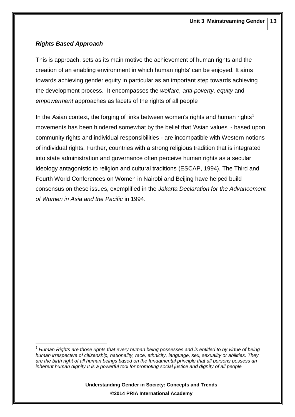## *Rights Based Approach*

This is approach, sets as its main motive the achievement of human rights and the creation of an enabling environment in which human rights' can be enjoyed. It aims towards achieving gender equity in particular as an important step towards achieving the development process. It encompasses the *welfare, anti-poverty, equity* and *empowerment* approaches as facets of the rights of all people

In the Asian context, the forging of links between women's rights and human rights<sup>3</sup> movements has been hindered somewhat by the belief that 'Asian values' - based upon community rights and individual responsibilities - are incompatible with Western notions of individual rights. Further, countries with a strong religious tradition that is integrated into state administration and governance often perceive human rights as a secular ideology antagonistic to religion and cultural traditions (ESCAP, 1994). The Third and Fourth World Conferences on Women in Nairobi and Beijing have helped build consensus on these issues, exemplified in the *Jakarta Declaration for the Advancement of Women in Asia and the Pacific* in 1994.

<sup>&</sup>lt;u>.</u> <sup>3</sup> *Human Rights are those rights that every human being possesses and is entitled to by virtue of being human irrespective of citizenship, nationality, race, ethnicity, language, sex, sexuality or abilities. They are the birth right of all human beings based on the fundamental principle that all persons possess an inherent human dignity It is a powerful tool for promoting social justice and dignity of all people*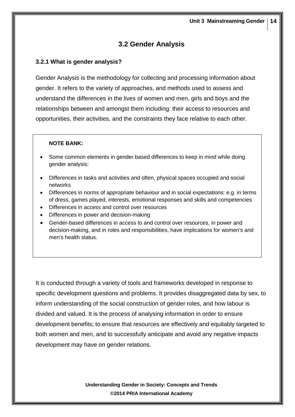## **3.2 Gender Analysis**

## **3.2.1 What is gender analysis?**

Gender Analysis is the methodology for collecting and processing information about gender. It refers to the variety of approaches, and methods used to assess and understand the differences in the lives of women and men, girls and boys and the relationships between and amongst them including: their access to resources and opportunities, their activities, and the constraints they face relative to each other.

#### **NOTE BANK:**

- Some common elements in gender based differences to keep in mind while doing gender analysis:
- Differences in tasks and activities and often, physical spaces occupied and social networks
- Differences in norms of appropriate behaviour and in social expectations: e.g. in terms of dress, games played, interests, emotional responses and skills and competencies
- Differences in access and control over resources
- Differences in power and decision-making
- Gender-based differences in access to and control over resources, in power and decision-making, and in roles and responsibilities, have implications for women's and men's health status.

It is conducted through a variety of tools and frameworks developed in response to specific development questions and problems. It provides disaggregated data by sex, to inform understanding of the social construction of gender roles, and how labour is divided and valued. It is the process of analysing information in order to ensure development benefits; to ensure that resources are effectively and equitably targeted to both women and men, and to successfully anticipate and avoid any negative impacts development may have on gender relations.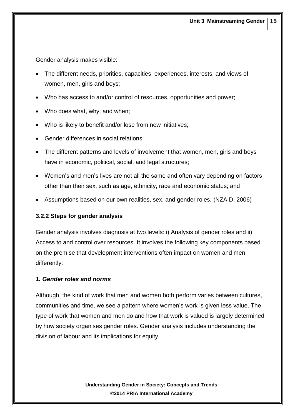Gender analysis makes visible:

- The different needs, priorities, capacities, experiences, interests, and views of women, men, girls and boys;
- Who has access to and/or control of resources, opportunities and power;
- Who does what, why, and when;
- Who is likely to benefit and/or lose from new initiatives;
- Gender differences in social relations;
- The different patterns and levels of involvement that women, men, girls and boys have in economic, political, social, and legal structures;
- Women's and men's lives are not all the same and often vary depending on factors other than their sex, such as age, ethnicity, race and economic status; and
- Assumptions based on our own realities, sex, and gender roles. (NZAID, 2006)

#### **3.2.2 Steps for gender analysis**

Gender analysis involves diagnosis at two levels: i) Analysis of gender roles and ii) Access to and control over resources. It involves the following key components based on the premise that development interventions often impact on women and men differently:

#### *1. Gender roles and norms*

Although, the kind of work that men and women both perform varies between cultures, communities and time, we see a pattern where women's work is given less value. The type of work that women and men do and how that work is valued is largely determined by how society organises gender roles. Gender analysis includes understanding the division of labour and its implications for equity.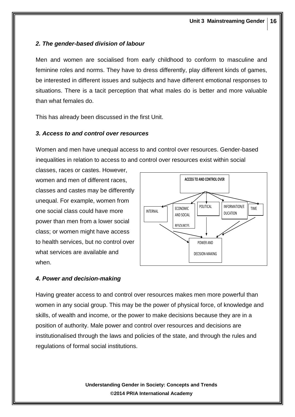### *2. The gender-based division of labour*

Men and women are socialised from early childhood to conform to masculine and feminine roles and norms. They have to dress differently, play different kinds of games, be interested in different issues and subjects and have different emotional responses to situations. There is a tacit perception that what males do is better and more valuable than what females do.

This has already been discussed in the first Unit.

#### *3. Access to and control over resources*

Women and men have unequal access to and control over resources. Gender-based inequalities in relation to access to and control over resources exist within social

classes, races or castes. However, women and men of different races, classes and castes may be differently unequal. For example, women from one social class could have more power than men from a lower social class; or women might have access to health services, but no control over what services are available and when.



#### *4. Power and decision-making*

Having greater access to and control over resources makes men more powerful than women in any social group. This may be the power of physical force, of knowledge and skills, of wealth and income, or the power to make decisions because they are in a position of authority. Male power and control over resources and decisions are institutionalised through the laws and policies of the state, and through the rules and regulations of formal social institutions.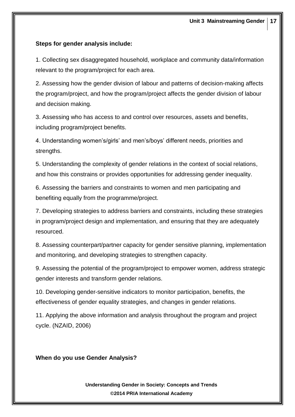#### **Steps for gender analysis include:**

1. Collecting sex disaggregated household, workplace and community data/information relevant to the program/project for each area.

2. Assessing how the gender division of labour and patterns of decision-making affects the program/project, and how the program/project affects the gender division of labour and decision making.

3. Assessing who has access to and control over resources, assets and benefits, including program/project benefits.

4. Understanding women's/girls' and men's/boys' different needs, priorities and strengths.

5. Understanding the complexity of gender relations in the context of social relations, and how this constrains or provides opportunities for addressing gender inequality.

6. Assessing the barriers and constraints to women and men participating and benefiting equally from the programme/project.

7. Developing strategies to address barriers and constraints, including these strategies in program/project design and implementation, and ensuring that they are adequately resourced.

8. Assessing counterpart/partner capacity for gender sensitive planning, implementation and monitoring, and developing strategies to strengthen capacity.

9. Assessing the potential of the program/project to empower women, address strategic gender interests and transform gender relations.

10. Developing gender-sensitive indicators to monitor participation, benefits, the effectiveness of gender equality strategies, and changes in gender relations.

11. Applying the above information and analysis throughout the program and project cycle. (NZAID, 2006)

**When do you use Gender Analysis?**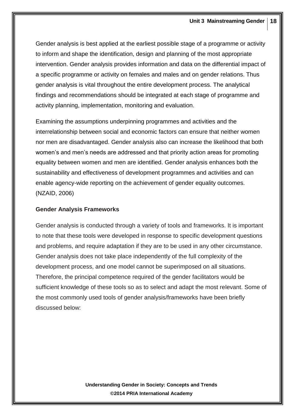Gender analysis is best applied at the earliest possible stage of a programme or activity to inform and shape the identification, design and planning of the most appropriate intervention. Gender analysis provides information and data on the differential impact of a specific programme or activity on females and males and on gender relations. Thus gender analysis is vital throughout the entire development process. The analytical findings and recommendations should be integrated at each stage of programme and activity planning, implementation, monitoring and evaluation.

Examining the assumptions underpinning programmes and activities and the interrelationship between social and economic factors can ensure that neither women nor men are disadvantaged. Gender analysis also can increase the likelihood that both women's and men's needs are addressed and that priority action areas for promoting equality between women and men are identified. Gender analysis enhances both the sustainability and effectiveness of development programmes and activities and can enable agency-wide reporting on the achievement of gender equality outcomes. (NZAID, 2006)

#### **Gender Analysis Frameworks**

Gender analysis is conducted through a variety of tools and frameworks. It is important to note that these tools were developed in response to specific development questions and problems, and require adaptation if they are to be used in any other circumstance. Gender analysis does not take place independently of the full complexity of the development process, and one model cannot be superimposed on all situations. Therefore, the principal competence required of the gender facilitators would be sufficient knowledge of these tools so as to select and adapt the most relevant. Some of the most commonly used tools of gender analysis/frameworks have been briefly discussed below: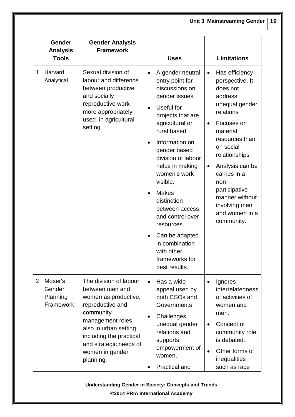|                | Gender<br><b>Analysis</b><br><b>Tools</b>  | <b>Gender Analysis</b><br><b>Framework</b>                                                                                                                                                                                           | <b>Uses</b>                                                                                                                                                                                                                                                                                                                                                                                                                                                                      | <b>Limitations</b>                                                                                                                                                                                                                                                                                                                      |
|----------------|--------------------------------------------|--------------------------------------------------------------------------------------------------------------------------------------------------------------------------------------------------------------------------------------|----------------------------------------------------------------------------------------------------------------------------------------------------------------------------------------------------------------------------------------------------------------------------------------------------------------------------------------------------------------------------------------------------------------------------------------------------------------------------------|-----------------------------------------------------------------------------------------------------------------------------------------------------------------------------------------------------------------------------------------------------------------------------------------------------------------------------------------|
| 1              | Harvard<br>Analytical                      | Sexual division of<br>labour and difference<br>between productive<br>and socially<br>reproductive work<br>more appropriately<br>used in agricultural<br>setting                                                                      | A gender neutral<br>$\bullet$<br>entry point for<br>discussions on<br>gender issues.<br>Useful for<br>$\bullet$<br>projects that are<br>agricultural or<br>rural based.<br>Information on<br>$\bullet$<br>gender based<br>division of labour<br>helps in making<br>women's work<br>visible.<br><b>Makes</b><br>$\bullet$<br>distinction<br>between access<br>and control over<br>resources.<br>Can be adapted<br>in combination<br>with other<br>frameworks for<br>best results. | Has efficiency<br>$\bullet$<br>perspective. It<br>does not<br>address<br>unequal gender<br>relations<br>Focuses on<br>$\bullet$<br>material<br>resources than<br>on social<br>relationships<br>Analysis can be<br>$\bullet$<br>carries in a<br>non-<br>participative<br>manner without<br>involving men<br>and women in a<br>community. |
| $\overline{2}$ | Moser's<br>Gender<br>Planning<br>Framework | The division of labour<br>between men and<br>women as productive,<br>reproductive and<br>community<br>management roles<br>also in urban setting<br>including the practical<br>and strategic needs of<br>women in gender<br>planning. | Has a wide<br>$\bullet$<br>appeal used by<br>both CSOs and<br>Governments<br>Challenges<br>$\bullet$<br>unequal gender<br>relations and<br>supports<br>empowerment of<br>women.<br><b>Practical and</b>                                                                                                                                                                                                                                                                          | Ignores<br>interrelatedness<br>of activities of<br>women and<br>men.<br>Concept of<br>$\bullet$<br>community role<br>is debated.<br>Other forms of<br>$\bullet$<br>inequalities<br>such as race                                                                                                                                         |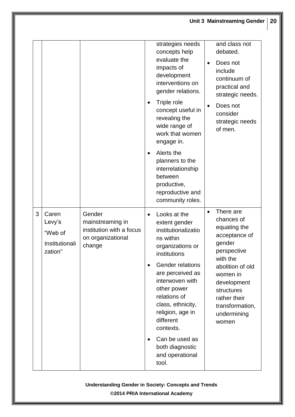|   |                                                         |                                                                                       | $\bullet$<br>$\bullet$ | strategies needs<br>concepts help<br>evaluate the<br>impacts of<br>development<br>interventions on<br>gender relations.<br>Triple role<br>concept useful in<br>revealing the<br>wide range of<br>work that women<br>engage in.<br>Alerts the<br>planners to the<br>interrelationship<br>between<br>productive,<br>reproductive and<br>community roles. | $\bullet$<br>$\bullet$ | and class not<br>debated.<br>Does not<br>include<br>continuum of<br>practical and<br>strategic needs.<br>Does not<br>consider<br>strategic needs<br>of men.                                                           |
|---|---------------------------------------------------------|---------------------------------------------------------------------------------------|------------------------|--------------------------------------------------------------------------------------------------------------------------------------------------------------------------------------------------------------------------------------------------------------------------------------------------------------------------------------------------------|------------------------|-----------------------------------------------------------------------------------------------------------------------------------------------------------------------------------------------------------------------|
| 3 | Caren<br>Levy's<br>"Web of<br>Institutionali<br>zation" | Gender<br>mainstreaming in<br>institution with a focus<br>on organizational<br>change | $\bullet$<br>$\bullet$ | Looks at the<br>extent gender<br>institutionalizatio<br>ns within<br>organizations or<br>institutions<br>Gender relations<br>are perceived as<br>interwoven with<br>other power<br>relations of<br>class, ethnicity,<br>religion, age in<br>different<br>contexts.<br>Can be used as<br>both diagnostic<br>and operational<br>tool.                    | $\bullet$              | There are<br>chances of<br>equating the<br>acceptance of<br>gender<br>perspective<br>with the<br>abolition of old<br>women in<br>development<br>structures<br>rather their<br>transformation,<br>undermining<br>women |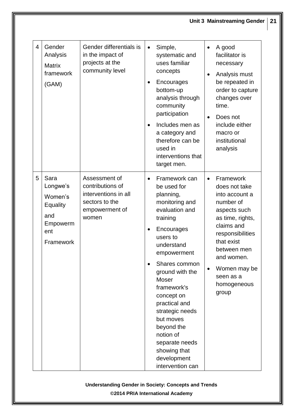| $\overline{4}$ | Gender<br>Analysis<br><b>Matrix</b><br>framework<br>(GAM)                             | Gender differentials is<br>in the impact of<br>projects at the<br>community level                      | Simple,<br>A good<br>$\bullet$<br>$\bullet$<br>facilitator is<br>systematic and<br>uses familiar<br>necessary<br>concepts<br>Analysis must<br>$\bullet$<br>be repeated in<br>Encourages<br>order to capture<br>bottom-up<br>analysis through<br>changes over<br>community<br>time.<br>participation<br>Does not<br>$\bullet$<br>Includes men as<br>include either<br>$\bullet$<br>a category and<br>macro or<br>therefore can be<br>institutional<br>used in<br>analysis<br>interventions that<br>target men.                                                                                                                                         |  |
|----------------|---------------------------------------------------------------------------------------|--------------------------------------------------------------------------------------------------------|-------------------------------------------------------------------------------------------------------------------------------------------------------------------------------------------------------------------------------------------------------------------------------------------------------------------------------------------------------------------------------------------------------------------------------------------------------------------------------------------------------------------------------------------------------------------------------------------------------------------------------------------------------|--|
| 5              | Sara<br>Longwe's<br>Women's<br><b>Equality</b><br>and<br>Empowerm<br>ent<br>Framework | Assessment of<br>contributions of<br>interventions in all<br>sectors to the<br>empowerment of<br>women | Framework can<br>Framework<br>$\bullet$<br>$\bullet$<br>be used for<br>does not take<br>planning,<br>into account a<br>monitoring and<br>number of<br>evaluation and<br>aspects such<br>as time, rights,<br>training<br>claims and<br>Encourages<br>responsibilities<br>users to<br>that exist<br>understand<br>between men<br>empowerment<br>and women.<br>Shares common<br>Women may be<br>$\bullet$<br>ground with the<br>seen as a<br>Moser<br>homogeneous<br>framework's<br>group<br>concept on<br>practical and<br>strategic needs<br>but moves<br>beyond the<br>notion of<br>separate needs<br>showing that<br>development<br>intervention can |  |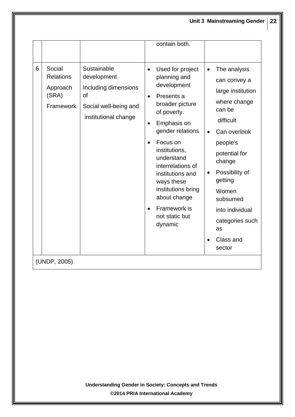|   |                                                              |                                                                                                           |                        | contain both.                                                                                                                                                                                                                                                                                                           |                        |                                                                                                                                                                                                                                                                      |
|---|--------------------------------------------------------------|-----------------------------------------------------------------------------------------------------------|------------------------|-------------------------------------------------------------------------------------------------------------------------------------------------------------------------------------------------------------------------------------------------------------------------------------------------------------------------|------------------------|----------------------------------------------------------------------------------------------------------------------------------------------------------------------------------------------------------------------------------------------------------------------|
| 6 | Social<br><b>Relations</b><br>Approach<br>(SRA)<br>Framework | Sustainable<br>development<br>Including dimensions<br>of<br>Social well-being and<br>institutional change | $\bullet$<br>$\bullet$ | Used for project<br>planning and<br>development<br>Presents a<br>broader picture<br>of poverty.<br>Emphasis on<br>gender relations<br>Focus on<br>institutions,<br>understand<br>interrelations of<br>institutions and<br>ways these<br>institutions bring<br>about change<br>Framework is<br>not static but<br>dynamic | $\bullet$<br>$\bullet$ | The analysis<br>can convey a<br>large institution<br>where change<br>can be<br>difficult<br>Can overlook<br>people's<br>potential for<br>change<br>Possibility of<br>getting<br>Women<br>subsumed<br>into individual<br>categories such<br>as<br>Class and<br>sector |
|   | (UNDP, 2005)                                                 |                                                                                                           |                        |                                                                                                                                                                                                                                                                                                                         |                        |                                                                                                                                                                                                                                                                      |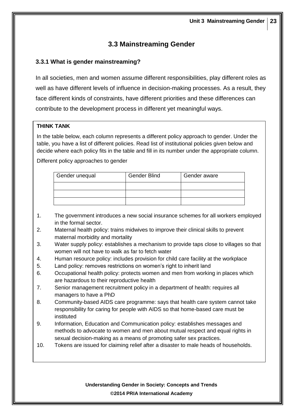## **3.3 Mainstreaming Gender**

#### **3.3.1 What is gender mainstreaming?**

In all societies, men and women assume different responsibilities, play different roles as well as have different levels of influence in decision-making processes. As a result, they face different kinds of constraints, have different priorities and these differences can contribute to the development process in different yet meaningful ways.

#### **THINK TANK**

List of policies

In the table below, each column represents a different policy approach to gender. Under the table, you have a list of different policies. Read list of institutional policies given below and decide where each policy fits in the table and fill in its number under the appropriate column.

Different policy approaches to gender

| Gender unequal | Gender Blind | Gender aware |  |  |
|----------------|--------------|--------------|--|--|
|                |              |              |  |  |
|                |              |              |  |  |
|                |              |              |  |  |

- 1. The government introduces a new social insurance schemes for all workers employed in the formal sector.
- 2. Maternal health policy: trains midwives to improve their clinical skills to prevent maternal morbidity and mortality
- 3. Water supply policy: establishes a mechanism to provide taps close to villages so that women will not have to walk as far to fetch water
- 4. Human resource policy: includes provision for child care facility at the workplace
- 5. Land policy: removes restrictions on women's right to inherit land
- 6. Occupational health policy: protects women and men from working in places which are hazardous to their reproductive health
- 7. Senior management recruitment policy in a department of health: requires all managers to have a PhD
- 8. Community-based AIDS care programme: says that health care system cannot take responsibility for caring for people with AIDS so that home-based care must be instituted
- 9. Information, Education and Communication policy: establishes messages and methods to advocate to women and men about mutual respect and equal rights in sexual decision-making as a means of promoting safer sex practices.
- 10. Tokens are issued for claiming relief after a disaster to male heads of households.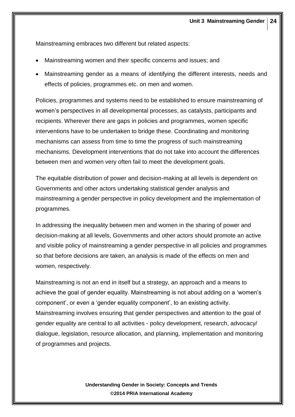Mainstreaming embraces two different but related aspects:

- Mainstreaming women and their specific concerns and issues; and
- Mainstreaming gender as a means of identifying the different interests, needs and effects of policies, programmes etc. on men and women.

Policies, programmes and systems need to be established to ensure mainstreaming of women's perspectives in all developmental processes, as catalysts, participants and recipients. Wherever there are gaps in policies and programmes, women specific interventions have to be undertaken to bridge these. Coordinating and monitoring mechanisms can assess from time to time the progress of such mainstreaming mechanisms. Development interventions that do not take into account the differences between men and women very often fail to meet the development goals.

The equitable distribution of power and decision-making at all levels is dependent on Governments and other actors undertaking statistical gender analysis and mainstreaming a gender perspective in policy development and the implementation of programmes.

In addressing the inequality between men and women in the sharing of power and decision-making at all levels, Governments and other actors should promote an active and visible policy of mainstreaming a gender perspective in all policies and programmes so that before decisions are taken, an analysis is made of the effects on men and women, respectively.

Mainstreaming is not an end in itself but a strategy, an approach and a means to achieve the goal of gender equality. Mainstreaming is not about adding on a 'women's component', or even a 'gender equality component', to an existing activity. Mainstreaming involves ensuring that gender perspectives and attention to the goal of gender equality are central to all activities - policy development, research, advocacy/ dialogue, legislation, resource allocation, and planning, implementation and monitoring of programmes and projects.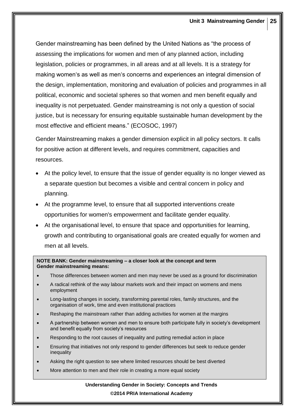Gender mainstreaming has been defined by the United Nations as "the process of assessing the implications for women and men of any planned action, including legislation, policies or programmes, in all areas and at all levels. It is a strategy for making women's as well as men's concerns and experiences an integral dimension of the design, implementation, monitoring and evaluation of policies and programmes in all political, economic and societal spheres so that women and men benefit equally and inequality is not perpetuated. Gender mainstreaming is not only a question of social justice, but is necessary for ensuring equitable sustainable human development by the most effective and efficient means." (ECOSOC, 1997)

Gender Mainstreaming makes a gender dimension explicit in all policy sectors. It calls for positive action at different levels, and requires commitment, capacities and resources.

- At the policy level, to ensure that the issue of gender equality is no longer viewed as a separate question but becomes a visible and central concern in policy and planning.
- At the programme level, to ensure that all supported interventions create opportunities for women's empowerment and facilitate gender equality.
- At the organisational level, to ensure that space and opportunities for learning, growth and contributing to organisational goals are created equally for women and men at all levels.

#### **NOTE BANK: Gender mainstreaming – a closer look at the concept and term Gender mainstreaming means:**

- Those differences between women and men may never be used as a ground for discrimination
- A radical rethink of the way labour markets work and their impact on womens and mens employment
- Long-lasting changes in society, transforming parental roles, family structures, and the organisation of work, time and even institutional practices
- Reshaping the mainstream rather than adding activities for women at the margins
- A partnership between women and men to ensure both participate fully in society's development and benefit equally from society's resources
- Responding to the root causes of inequality and putting remedial action in place
- Ensuring that initiatives not only respond to gender differences but seek to reduce gender inequality
- Asking the right question to see where limited resources should be best diverted
- More attention to men and their role in creating a more equal society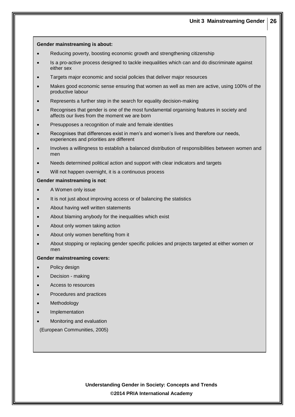#### **Gender mainstreaming is about:**

- Reducing poverty, boosting economic growth and strengthening citizenship
- Is a pro-active process designed to tackle inequalities which can and do discriminate against either sex
- Targets major economic and social policies that deliver major resources
- Makes good economic sense ensuring that women as well as men are active, using 100% of the productive labour
- Represents a further step in the search for equality decision-making
- Recognises that gender is one of the most fundamental organising features in society and affects our lives from the moment we are born
- Presupposes a recognition of male and female identities
- Recognises that differences exist in men's and women's lives and therefore our needs, experiences and priorities are different
- Involves a willingness to establish a balanced distribution of responsibilities between women and men
- Needs determined political action and support with clear indicators and targets
- Will not happen overnight, it is a continuous process

#### **Gender mainstreaming is not**:

- A Women only issue
- It is not just about improving access or of balancing the statistics
- About having well written statements
- About blaming anybody for the inequalities which exist
- About only women taking action
- About only women benefiting from it
- About stopping or replacing gender specific policies and projects targeted at either women or men

#### **Gender mainstreaming covers:**

- Policy design
- Decision making
- Access to resources
- Procedures and practices
- Methodology
- Implementation
- Monitoring and evaluation

(European Communities, 2005)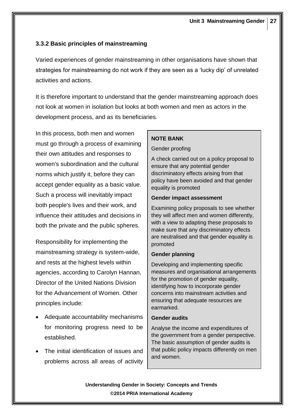### **3.3.2 Basic principles of mainstreaming**

Varied experiences of gender mainstreaming in other organisations have shown that strategies for mainstreaming do not work if they are seen as a 'lucky dip' of unrelated activities and actions.

It is therefore important to understand that the gender mainstreaming approach does not look at women in isolation but looks at both women and men as actors in the development process, and as its beneficiaries.

In this process, both men and women must go through a process of examining their own attitudes and responses to women's subordination and the cultural norms which justify it, before they can accept gender equality as a basic value. Such a process will inevitably impact both people's lives and their work, and influence their attitudes and decisions in both the private and the public spheres.

Responsibility for implementing the mainstreaming strategy is system-wide, and rests at the highest levels within agencies, according to Carolyn Hannan, Director of the United Nations Division for the Advancement of Women. Other principles include:

- Adequate accountability mechanisms for monitoring progress need to be established.
- The initial identification of issues and problems across all areas of activity

#### **NOTE BANK**

#### Gender proofing

A check carried out on a policy proposal to ensure that any potential gender discriminatory effects arising from that policy have been avoided and that gender equality is promoted

#### **Gender impact assessment**

Examining policy proposals to see whether they will affect men and women differently, with a view to adapting these proposals to make sure that any discriminatory effects are neutralised and that gender equality is promoted

#### **Gender planning**

Developing and implementing specific measures and organisational arrangements for the promotion of gender equality, identifying how to incorporate gender concerns into mainstream activities and ensuring that adequate resources are earmarked.

#### **Gender audits**

Analyse the income and expenditures of the government from a gender perspective. The basic assumption of gender audits is that public policy impacts differently on men and women.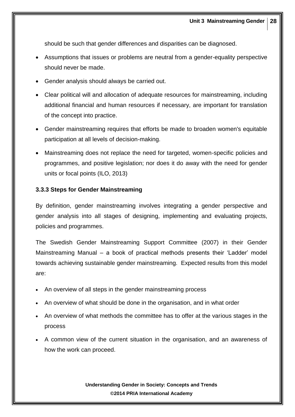should be such that gender differences and disparities can be diagnosed.

- Assumptions that issues or problems are neutral from a gender-equality perspective should never be made.
- Gender analysis should always be carried out.
- Clear political will and allocation of adequate resources for mainstreaming, including additional financial and human resources if necessary, are important for translation of the concept into practice.
- Gender mainstreaming requires that efforts be made to broaden women's equitable participation at all levels of decision-making.
- Mainstreaming does not replace the need for targeted, women-specific policies and programmes, and positive legislation; nor does it do away with the need for gender units or focal points (ILO, 2013)

#### **3.3.3 Steps for Gender Mainstreaming**

By definition, gender mainstreaming involves integrating a gender perspective and gender analysis into all stages of designing, implementing and evaluating projects, policies and programmes.

The Swedish Gender Mainstreaming Support Committee (2007) in their Gender Mainstreaming Manual – a book of practical methods presents their 'Ladder' model towards achieving sustainable gender mainstreaming. Expected results from this model are:

- An overview of all steps in the gender mainstreaming process
- An overview of what should be done in the organisation, and in what order
- An overview of what methods the committee has to offer at the various stages in the process
- A common view of the current situation in the organisation, and an awareness of how the work can proceed.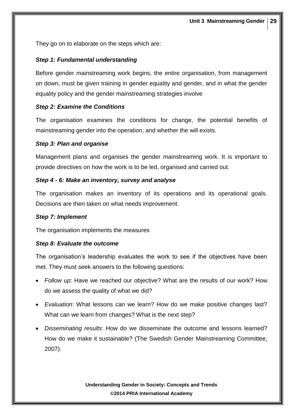They go on to elaborate on the steps which are:

#### *Step 1: Fundamental understanding*

Before gender mainstreaming work begins, the entire organisation, from management on down, must be given training in gender equality and gender, and in what the gender equality policy and the gender mainstreaming strategies involve

#### *Step 2: Examine the Conditions*

The organisation examines the conditions for change, the potential benefits of mainstreaming gender into the operation, and whether the will exists.

#### *Step 3: Plan and organise*

Management plans and organises the gender mainstreaming work. It is important to provide directives on how the work is to be led, organised and carried out.

#### *Step 4 - 6: Make an inventory, survey and analyse*

The organisation makes an inventory of its operations and its operational goals. Decisions are then taken on what needs improvement.

#### *Step 7: Implement*

The organisation implements the measures

#### *Step 8: Evaluate the outcome*

The organisation's leadership evaluates the work to see if the objectives have been met. They must seek answers to the following questions:

- *Follow up*: Have we reached our objective? What are the results of our work? How do we assess the quality of what we did?
- *Evaluation*: What lessons can we learn? How do we make positive changes last? What can we learn from changes? What is the next step?
- *Disseminating results*: How do we disseminate the outcome and lessons learned? How do we make it sustainable? (The Swedish Gender Mainstreaming Committee, 2007).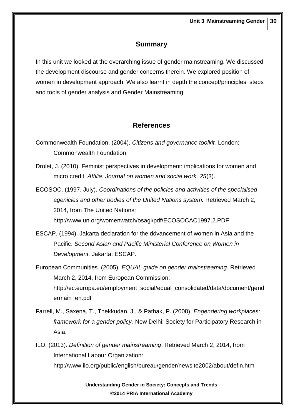## **Summary**

In this unit we looked at the overarching issue of gender mainstreaming. We discussed the development discourse and gender concerns therein. We explored position of women in development approach. We also learnt in depth the concept/principles, steps and tools of gender analysis and Gender Mainstreaming.

## **References**

- Commonwealth Foundation. (2004). *Citizens and governance toolkit.* London: Commonwealth Foundation.
- Drolet, J. (2010). Feminist perspectives in development: implications for women and micro credit. *Affilia: Journal on women and social work, 25*(3).
- ECOSOC. (1997, July). *Coordinations of the policies and activities of the specialised agenicies and other bodies of the United Nations system.* Retrieved March 2, 2014, from The United Nations: http://www.un.org/womenwatch/osagi/pdf/ECOSOCAC1997.2.PDF
- ESCAP. (1994). Jakarta declaration for the ddvancement of women in Asia and the Pacific. *Second Asian and Pacific Ministerial Conference on Women in Development.* Jakarta: ESCAP.
- European Communities. (2005). *EQUAL guide on gender mainstreaming.* Retrieved March 2, 2014, from European Commission: http://ec.europa.eu/employment\_social/equal\_consolidated/data/document/gend ermain\_en.pdf
- Farrell, M., Saxena, T., Thekkudan, J., & Pathak, P. (2008). *Engendering workplaces: framework for a gender policy.* New Delhi: Society for Participatory Research in Asia.
- ILO. (2013). *Definition of gender mainstreaming*. Retrieved March 2, 2014, from International Labour Organization: http://www.ilo.org/public/english/bureau/gender/newsite2002/about/defin.htm